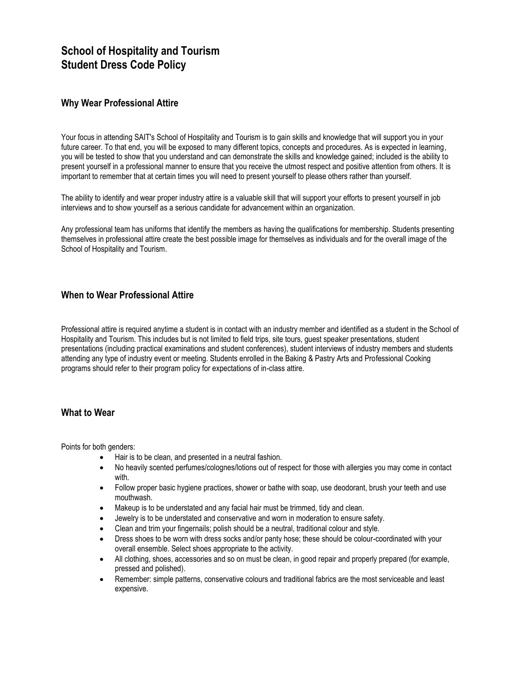## **School of Hospitality and Tourism Student Dress Code Policy**

## **Why Wear Professional Attire**

Your focus in attending SAIT's School of Hospitality and Tourism is to gain skills and knowledge that will support you in your future career. To that end, you will be exposed to many different topics, concepts and procedures. As is expected in learning, you will be tested to show that you understand and can demonstrate the skills and knowledge gained; included is the ability to present yourself in a professional manner to ensure that you receive the utmost respect and positive attention from others. It is important to remember that at certain times you will need to present yourself to please others rather than yourself.

The ability to identify and wear proper industry attire is a valuable skill that will support your efforts to present yourself in job interviews and to show yourself as a serious candidate for advancement within an organization.

Any professional team has uniforms that identify the members as having the qualifications for membership. Students presenting themselves in professional attire create the best possible image for themselves as individuals and for the overall image of the School of Hospitality and Tourism.

## **When to Wear Professional Attire**

Professional attire is required anytime a student is in contact with an industry member and identified as a student in the School of Hospitality and Tourism. This includes but is not limited to field trips, site tours, guest speaker presentations, student presentations (including practical examinations and student conferences), student interviews of industry members and students attending any type of industry event or meeting. Students enrolled in the Baking & Pastry Arts and Professional Cooking programs should refer to their program policy for expectations of in-class attire.

## **What to Wear**

Points for both genders:

- Hair is to be clean, and presented in a neutral fashion.
- No heavily scented perfumes/colognes/lotions out of respect for those with allergies you may come in contact with.
- Follow proper basic hygiene practices, shower or bathe with soap, use deodorant, brush your teeth and use mouthwash.
- Makeup is to be understated and any facial hair must be trimmed, tidy and clean.
- Jewelry is to be understated and conservative and worn in moderation to ensure safety.
- Clean and trim your fingernails; polish should be a neutral, traditional colour and style.
- Dress shoes to be worn with dress socks and/or panty hose; these should be colour-coordinated with your overall ensemble. Select shoes appropriate to the activity.
- All clothing, shoes, accessories and so on must be clean, in good repair and properly prepared (for example, pressed and polished).
- Remember: simple patterns, conservative colours and traditional fabrics are the most serviceable and least expensive.